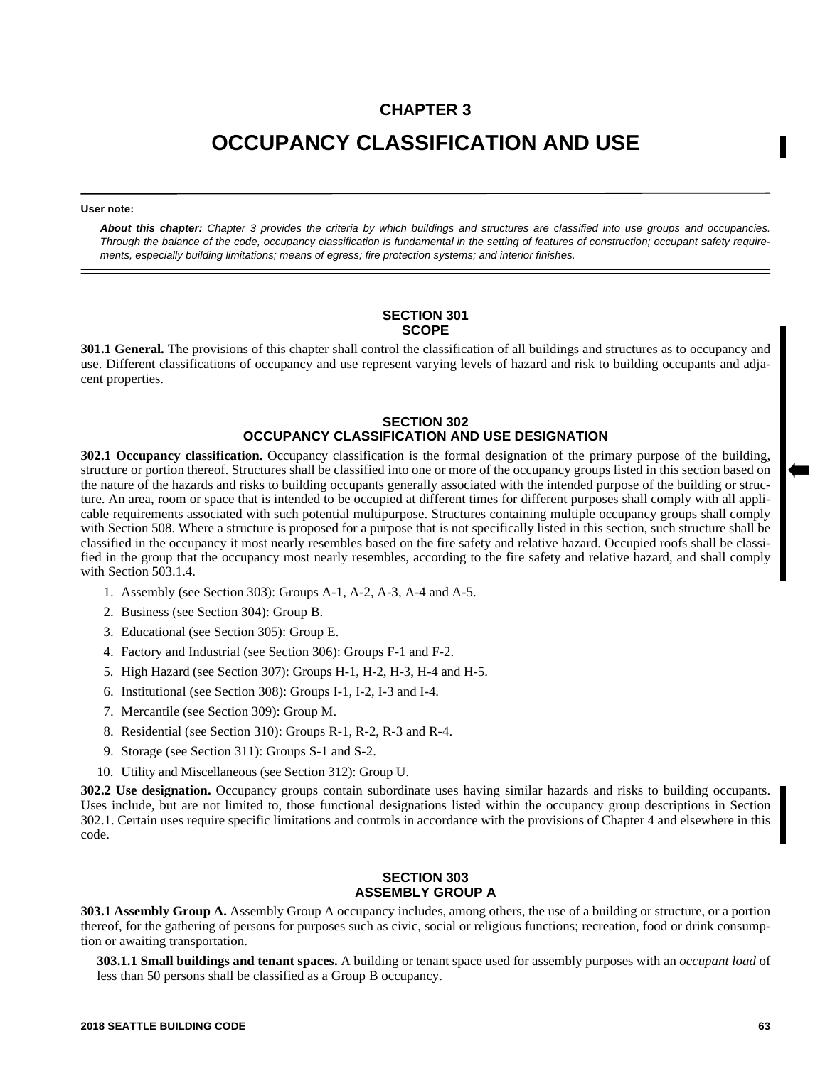## **CHAPTER 3**

# **OCCUPANCY CLASSIFICATION AND USE**

#### **User note:**

*About this chapter: Chapter 3 provides the criteria by which buildings and structures are classified into use groups and occupancies. Through the balance of the code, occupancy classification is fundamental in the setting of features of construction; occupant safety requirements, especially building limitations; means of egress; fire protection systems; and interior finishes.*

#### **SECTION 301 SCOPE**

**301.1 General.** The provisions of this chapter shall control the classification of all buildings and structures as to occupancy and use. Different classifications of occupancy and use represent varying levels of hazard and risk to building occupants and adjacent properties.

#### **SECTION 302 OCCUPANCY CLASSIFICATION AND USE DESIGNATION**

**302.1 Occupancy classification.** Occupancy classification is the formal designation of the primary purpose of the building, structure or portion thereof. Structures shall be classified into one or more of the occupancy groups listed in this section based on the nature of the hazards and risks to building occupants generally associated with the intended purpose of the building or structure. An area, room or space that is intended to be occupied at different times for different purposes shall comply with all applicable requirements associated with such potential multipurpose. Structures containing multiple occupancy groups shall comply with Section 508. Where a structure is proposed for a purpose that is not specifically listed in this section, such structure shall be classified in the occupancy it most nearly resembles based on the fire safety and relative hazard. Occupied roofs shall be classified in the group that the occupancy most nearly resembles, according to the fire safety and relative hazard, and shall comply with Section 503.1.4.

- 1. Assembly (see Section 303): Groups A-1, A-2, A-3, A-4 and A-5.
- 2. Business (see Section 304): Group B.
- 3. Educational (see Section 305): Group E.
- 4. Factory and Industrial (see Section 306): Groups F-1 and F-2.
- 5. High Hazard (see Section 307): Groups H-1, H-2, H-3, H-4 and H-5.
- 6. Institutional (see Section 308): Groups I-1, I-2, I-3 and I-4.
- 7. Mercantile (see Section 309): Group M.
- 8. Residential (see Section 310): Groups R-1, R-2, R-3 and R-4.
- 9. Storage (see Section 311): Groups S-1 and S-2.
- 10. Utility and Miscellaneous (see Section 312): Group U.

**302.2 Use designation.** Occupancy groups contain subordinate uses having similar hazards and risks to building occupants. Uses include, but are not limited to, those functional designations listed within the occupancy group descriptions in Section 302.1. Certain uses require specific limitations and controls in accordance with the provisions of Chapter 4 and elsewhere in this code.

#### **SECTION 303 ASSEMBLY GROUP A**

**303.1 Assembly Group A.** Assembly Group A occupancy includes, among others, the use of a building or structure, or a portion thereof, for the gathering of persons for purposes such as civic, social or religious functions; recreation, food or drink consumption or awaiting transportation.

**303.1.1 Small buildings and tenant spaces.** A building or tenant space used for assembly purposes with an *occupant load* of less than 50 persons shall be classified as a Group B occupancy.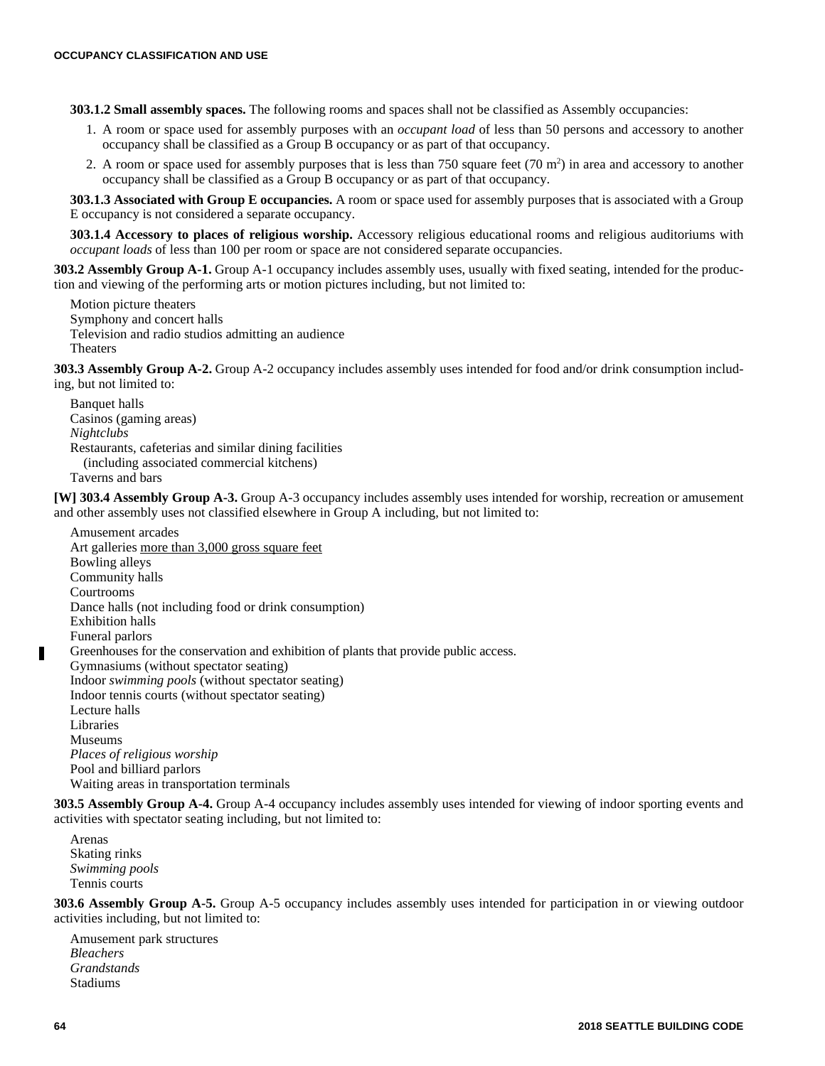**303.1.2 Small assembly spaces.** The following rooms and spaces shall not be classified as Assembly occupancies:

- 1. A room or space used for assembly purposes with an *occupant load* of less than 50 persons and accessory to another occupancy shall be classified as a Group B occupancy or as part of that occupancy.
- 2. A room or space used for assembly purposes that is less than 750 square feet  $(70 \text{ m}^2)$  in area and accessory to another occupancy shall be classified as a Group B occupancy or as part of that occupancy.

**303.1.3 Associated with Group E occupancies.** A room or space used for assembly purposes that is associated with a Group E occupancy is not considered a separate occupancy.

**303.1.4 Accessory to places of religious worship.** Accessory religious educational rooms and religious auditoriums with *occupant loads* of less than 100 per room or space are not considered separate occupancies.

**303.2 Assembly Group A-1.** Group A-1 occupancy includes assembly uses, usually with fixed seating, intended for the production and viewing of the performing arts or motion pictures including, but not limited to:

Motion picture theaters Symphony and concert halls Television and radio studios admitting an audience Theaters

**303.3 Assembly Group A-2.** Group A-2 occupancy includes assembly uses intended for food and/or drink consumption including, but not limited to:

Banquet halls Casinos (gaming areas) *Nightclubs* Restaurants, cafeterias and similar dining facilities (including associated commercial kitchens) Taverns and bars

**[W] 303.4 Assembly Group A-3.** Group A-3 occupancy includes assembly uses intended for worship, recreation or amusement and other assembly uses not classified elsewhere in Group A including, but not limited to:

Amusement arcades Art galleries more than 3,000 gross square feet Bowling alleys Community halls Courtrooms Dance halls (not including food or drink consumption) Exhibition halls Funeral parlors Greenhouses for the conservation and exhibition of plants that provide public access. Gymnasiums (without spectator seating) Indoor *swimming pools* (without spectator seating) Indoor tennis courts (without spectator seating) Lecture halls Libraries Museums *Places of religious worship* Pool and billiard parlors Waiting areas in transportation terminals

**303.5 Assembly Group A-4.** Group A-4 occupancy includes assembly uses intended for viewing of indoor sporting events and activities with spectator seating including, but not limited to:

Arenas Skating rinks *Swimming pools* Tennis courts

**303.6 Assembly Group A-5.** Group A-5 occupancy includes assembly uses intended for participation in or viewing outdoor activities including, but not limited to:

Amusement park structures *Bleachers Grandstands* Stadiums

Г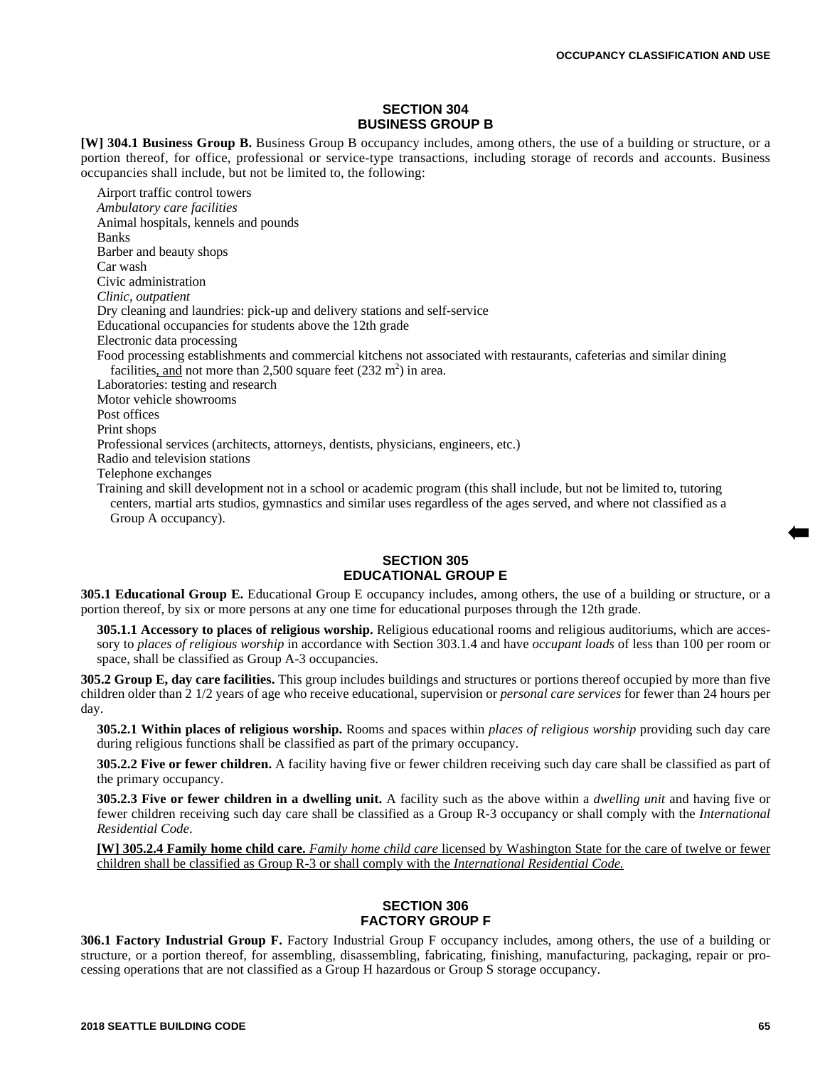#### **SECTION 304 BUSINESS GROUP B**

**[W] 304.1 Business Group B.** Business Group B occupancy includes, among others, the use of a building or structure, or a portion thereof, for office, professional or service-type transactions, including storage of records and accounts. Business occupancies shall include, but not be limited to, the following:

Airport traffic control towers *Ambulatory care facilities*  Animal hospitals, kennels and pounds Banks Barber and beauty shops Car wash Civic administration *Clinic, outpatient* Dry cleaning and laundries: pick-up and delivery stations and self-service Educational occupancies for students above the 12th grade Electronic data processing Food processing establishments and commercial kitchens not associated with restaurants, cafeterias and similar dining facilities, and not more than 2,500 square feet  $(232 \text{ m}^2)$  in area. Laboratories: testing and research Motor vehicle showrooms Post offices Print shops Professional services (architects, attorneys, dentists, physicians, engineers, etc.) Radio and television stations Telephone exchanges Training and skill development not in a school or academic program (this shall include, but not be limited to, tutoring centers, martial arts studios, gymnastics and similar uses regardless of the ages served, and where not classified as a Group A occupancy).

#### **SECTION 305 EDUCATIONAL GROUP E**

**305.1 Educational Group E.** Educational Group E occupancy includes, among others, the use of a building or structure, or a portion thereof, by six or more persons at any one time for educational purposes through the 12th grade.

**305.1.1 Accessory to places of religious worship.** Religious educational rooms and religious auditoriums, which are accessory to *places of religious worship* in accordance with Section 303.1.4 and have *occupant loads* of less than 100 per room or space, shall be classified as Group A-3 occupancies.

**305.2 Group E, day care facilities.** This group includes buildings and structures or portions thereof occupied by more than five children older than 2 1/2 years of age who receive educational, supervision or *personal care services* for fewer than 24 hours per day.

**305.2.1 Within places of religious worship.** Rooms and spaces within *places of religious worship* providing such day care during religious functions shall be classified as part of the primary occupancy.

**305.2.2 Five or fewer children.** A facility having five or fewer children receiving such day care shall be classified as part of the primary occupancy.

**305.2.3 Five or fewer children in a dwelling unit.** A facility such as the above within a *dwelling unit* and having five or fewer children receiving such day care shall be classified as a Group R-3 occupancy or shall comply with the *International Residential Code*.

**[W] 305.2.4 Family home child care.** *Family home child care* licensed by Washington State for the care of twelve or fewer children shall be classified as Group R-3 or shall comply with the *International Residential Code.*

#### **SECTION 306 FACTORY GROUP F**

**306.1 Factory Industrial Group F.** Factory Industrial Group F occupancy includes, among others, the use of a building or structure, or a portion thereof, for assembling, disassembling, fabricating, finishing, manufacturing, packaging, repair or processing operations that are not classified as a Group H hazardous or Group S storage occupancy.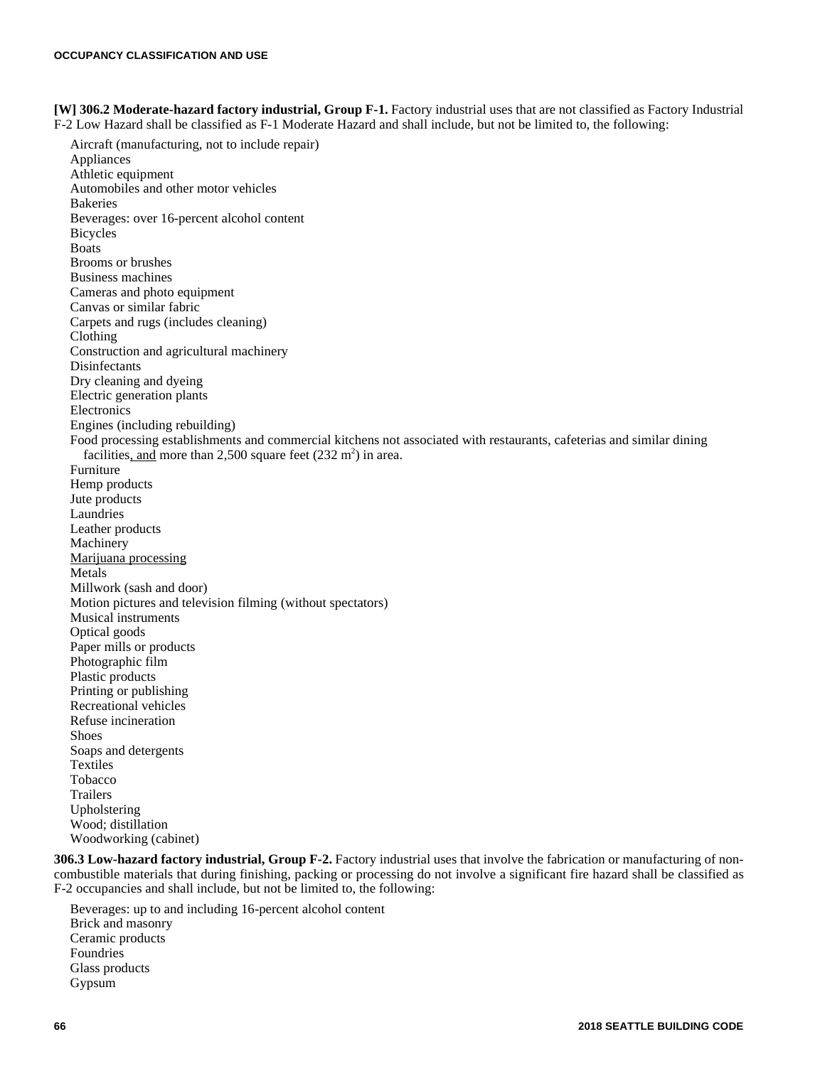**[W] 306.2 Moderate-hazard factory industrial, Group F-1.** Factory industrial uses that are not classified as Factory Industrial F-2 Low Hazard shall be classified as F-1 Moderate Hazard and shall include, but not be limited to, the following:

Aircraft (manufacturing, not to include repair) Appliances Athletic equipment Automobiles and other motor vehicles Bakeries Beverages: over 16-percent alcohol content Bicycles Boats Brooms or brushes Business machines Cameras and photo equipment Canvas or similar fabric Carpets and rugs (includes cleaning) Clothing Construction and agricultural machinery Disinfectants Dry cleaning and dyeing Electric generation plants Electronics Engines (including rebuilding) Food processing establishments and commercial kitchens not associated with restaurants, cafeterias and similar dining facilities, and more than 2,500 square feet  $(232 \text{ m}^2)$  in area. Furniture Hemp products Jute products Laundries Leather products Machinery Marijuana processing Metals Millwork (sash and door) Motion pictures and television filming (without spectators) Musical instruments Optical goods Paper mills or products Photographic film Plastic products Printing or publishing Recreational vehicles Refuse incineration Shoes Soaps and detergents Textiles Tobacco Trailers Upholstering Wood; distillation Woodworking (cabinet)

**306.3 Low-hazard factory industrial, Group F-2.** Factory industrial uses that involve the fabrication or manufacturing of noncombustible materials that during finishing, packing or processing do not involve a significant fire hazard shall be classified as F-2 occupancies and shall include, but not be limited to, the following:

Beverages: up to and including 16-percent alcohol content Brick and masonry Ceramic products Foundries Glass products Gypsum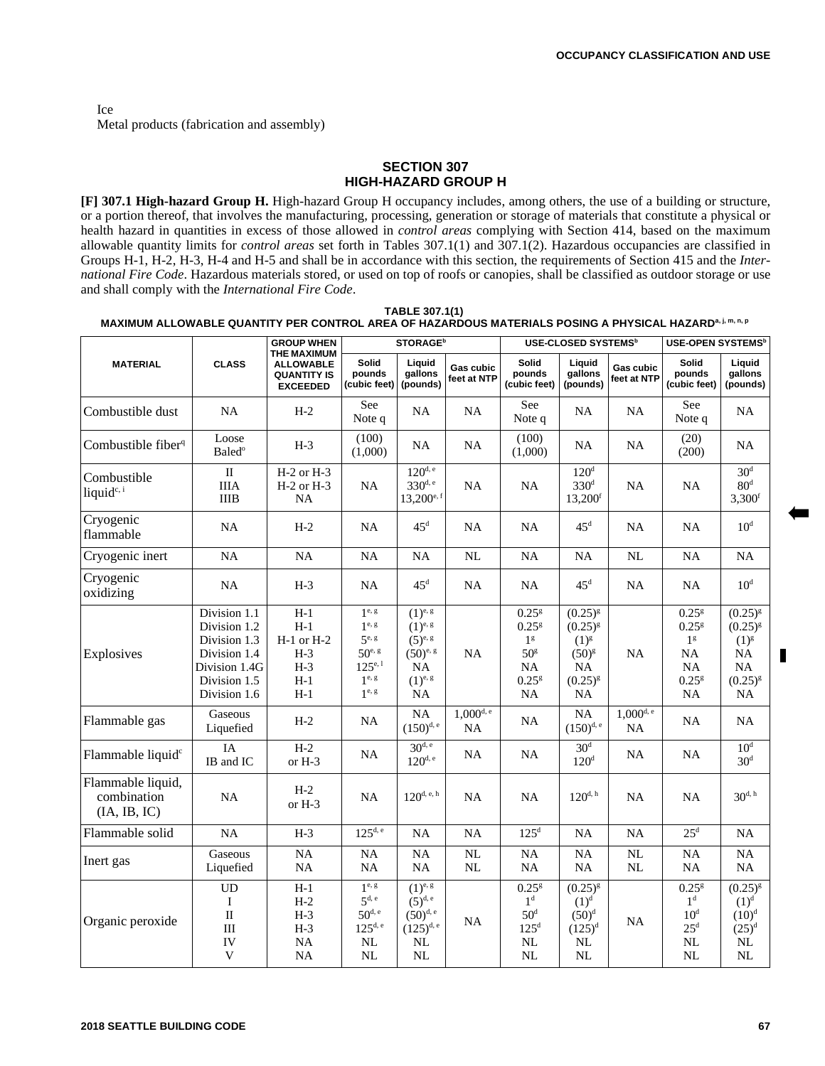Ice Metal products (fabrication and assembly)

#### **SECTION 307 HIGH-HAZARD GROUP H**

**[F] 307.1 High-hazard Group H.** High-hazard Group H occupancy includes, among others, the use of a building or structure, or a portion thereof, that involves the manufacturing, processing, generation or storage of materials that constitute a physical or health hazard in quantities in excess of those allowed in *control areas* complying with Section 414, based on the maximum allowable quantity limits for *control areas* set forth in Tables 307.1(1) and 307.1(2). Hazardous occupancies are classified in Groups H-1, H-2, H-3, H-4 and H-5 and shall be in accordance with this section, the requirements of Section 415 and the *International Fire Code*. Hazardous materials stored, or used on top of roofs or canopies, shall be classified as outdoor storage or use and shall comply with the *International Fire Code*.

**TABLE 307.1(1) MAXIMUM ALLOWABLE QUANTITY PER CONTROL AREA OF HAZARDOUS MATERIALS POSING A PHYSICAL HAZARD<sup>a, j, m, n, p**</sup>

|                                                  | <b>CLASS</b>                                                                                                  | <b>GROUP WHEN</b>                                                        | <b>STORAGE</b> <sup>b</sup>                                                                         |                                                                                                   |                               | <b>USE-CLOSED SYSTEMS<sup>b</sup></b>                                                                                     |                                                                                            |                          | <b>USE-OPEN SYSTEMS<sup>b</sup></b>                                                                                 |                                                                                           |
|--------------------------------------------------|---------------------------------------------------------------------------------------------------------------|--------------------------------------------------------------------------|-----------------------------------------------------------------------------------------------------|---------------------------------------------------------------------------------------------------|-------------------------------|---------------------------------------------------------------------------------------------------------------------------|--------------------------------------------------------------------------------------------|--------------------------|---------------------------------------------------------------------------------------------------------------------|-------------------------------------------------------------------------------------------|
| <b>MATERIAL</b>                                  |                                                                                                               | THE MAXIMUM<br><b>ALLOWABLE</b><br><b>QUANTITY IS</b><br><b>EXCEEDED</b> | Solid<br>pounds<br>(cubic feet)                                                                     | Liquid<br>gallons<br>(pounds)                                                                     | Gas cubic<br>feet at NTP      | Solid<br>pounds<br>(cubic feet)                                                                                           | Liguid<br>gallons<br>(pounds)                                                              | Gas cubic<br>feet at NTP | Solid<br>pounds<br>(cubic feet)                                                                                     | Liauid<br>gallons<br>(pounds)                                                             |
| Combustible dust                                 | NA                                                                                                            | $H-2$                                                                    | See<br>Note q                                                                                       | NA                                                                                                | NA                            | See<br>Note q                                                                                                             | NA                                                                                         | NA                       | See<br>Note q                                                                                                       | NA                                                                                        |
| Combustible fiber <sup>q</sup>                   | Loose<br><b>Baled</b> <sup>o</sup>                                                                            | $H-3$                                                                    | (100)<br>(1,000)                                                                                    | NA                                                                                                | NA                            | (100)<br>(1,000)                                                                                                          | NA                                                                                         | <b>NA</b>                | (20)<br>(200)                                                                                                       | NA                                                                                        |
| Combustible<br>liquid <sup>c, i</sup>            | $\rm II$<br><b>IIIA</b><br><b>IIIB</b>                                                                        | H-2 or H-3<br>$H-2$ or $H-3$<br>NA                                       | NA                                                                                                  | $120^{d, e}$<br>330 <sup>d, e</sup><br>$13,200^{\text{e, f}}$                                     | <b>NA</b>                     | NA                                                                                                                        | 120 <sup>d</sup><br>330 <sup>d</sup><br>13,200 <sup>f</sup>                                | NA                       | NA                                                                                                                  | 30 <sup>d</sup><br>80 <sup>d</sup><br>3,300 <sup>f</sup>                                  |
| Cryogenic<br>flammable                           | NA                                                                                                            | $H-2$                                                                    | NA                                                                                                  | $45^{\rm d}$                                                                                      | <b>NA</b>                     | NA                                                                                                                        | $45^{\rm d}$                                                                               | <b>NA</b>                | NA                                                                                                                  | 10 <sup>d</sup>                                                                           |
| Cryogenic inert                                  | NA                                                                                                            | <b>NA</b>                                                                | NA                                                                                                  | NA                                                                                                | $\rm NL$                      | NA                                                                                                                        | NA                                                                                         | NL                       | NA                                                                                                                  | NA                                                                                        |
| Cryogenic<br>oxidizing                           | NA                                                                                                            | $H-3$                                                                    | NA                                                                                                  | 45 <sup>d</sup>                                                                                   | NA                            | NA                                                                                                                        | 45 <sup>d</sup>                                                                            | <b>NA</b>                | NA                                                                                                                  | 10 <sup>d</sup>                                                                           |
| Explosives                                       | Division 1.1<br>Division 1.2<br>Division 1.3<br>Division 1.4<br>Division 1.4G<br>Division 1.5<br>Division 1.6 | $H-1$<br>$H-1$<br>$H-1$ or $H-2$<br>$H-3$<br>$H-3$<br>$H-1$<br>$H-1$     | 1e, g<br>$1e$ , g<br>$5^{\text{e},\text{ g}}$<br>$50^{e.}$<br>$125^{e,1}$<br>$1^{e, g}$<br>$1e$ , g | $(1)^{e, g}$<br>$(1)^{e, g}$<br>$(5)^{e, g}$<br>$(50)^{e, g}$<br>NA.<br>$(1)^{e, g}$<br><b>NA</b> | <b>NA</b>                     | $0.25$ <sup>g</sup><br>$0.25$ <sup>g</sup><br>1 <sup>g</sup><br>50 <sup>g</sup><br>NA<br>$0.25$ <sup>g</sup><br><b>NA</b> | $(0.25)^{g}$<br>$(0.25)^{8}$<br>$(1)^{g}$<br>$(50)^{g}$<br>NA<br>$(0.25)^{g}$<br><b>NA</b> | <b>NA</b>                | $0.25$ <sup>g</sup><br>$0.25$ <sup>g</sup><br>1 <sup>g</sup><br>NA<br><b>NA</b><br>$0.25$ <sup>g</sup><br><b>NA</b> | $(0.25)^{g}$<br>$(0.25)^{8}$<br>$(1)^{g}$<br>NA<br><b>NA</b><br>$(0.25)^{g}$<br><b>NA</b> |
| Flammable gas                                    | Gaseous<br>Liquefied                                                                                          | $H-2$                                                                    | <b>NA</b>                                                                                           | NA<br>$(150)^{d, e}$                                                                              | $1,000$ <sup>d, e</sup><br>NA | NA                                                                                                                        | NA<br>$(150)^{d,e}$                                                                        | $1,000^{d, e}$<br>NA     | NA                                                                                                                  | <b>NA</b>                                                                                 |
| Flammable liquid <sup>c</sup>                    | IA<br>IB and IC                                                                                               | $H-2$<br>or H-3                                                          | NA                                                                                                  | 30 <sup>d,e</sup><br>$120^{d, e}$                                                                 | NA                            | NA                                                                                                                        | 30 <sup>d</sup><br>$120^{\rm d}$                                                           | NA                       | NA                                                                                                                  | 10 <sup>d</sup><br>30 <sup>d</sup>                                                        |
| Flammable liquid,<br>combination<br>(IA, IB, IC) | <b>NA</b>                                                                                                     | $H-2$<br>or H-3                                                          | NA                                                                                                  | $120^{d, e, h}$                                                                                   | <b>NA</b>                     | <b>NA</b>                                                                                                                 | $120^{d, h}$                                                                               | <b>NA</b>                | NA                                                                                                                  | $30^{d, h}$                                                                               |
| Flammable solid                                  | NA                                                                                                            | $125^{d, e}$<br>$125^{\rm d}$<br>$H-3$<br>NA<br>NA<br>NA<br><b>NA</b>    |                                                                                                     | $25^d$                                                                                            | NA                            |                                                                                                                           |                                                                                            |                          |                                                                                                                     |                                                                                           |
| Inert gas                                        | Gaseous<br>Liquefied                                                                                          | NA<br>NA                                                                 | NA<br>NA                                                                                            | NA<br>NA                                                                                          | NL<br>NL                      | NA<br>NA                                                                                                                  | NA<br>NA                                                                                   | NL<br>NL                 | NA<br>NA                                                                                                            | NA<br><b>NA</b>                                                                           |
| Organic peroxide                                 | <b>UD</b><br>Ι<br>$\mathbf{I}$<br>III<br>IV<br>V                                                              | $H-1$<br>$H-2$<br>$H-3$<br>$H-3$<br><b>NA</b><br>NA                      | 1e, g<br>$5d$ , e<br>$50^{d, e}$<br>$125^{d, e}$<br>$\rm NL$<br>NL                                  | $(1)^{e, g}$<br>$(5)^{d,e}$<br>$(50)^{d,e}$<br>$(125)^{d,e}$<br>$\rm NL$<br>NL                    | <b>NA</b>                     | $0.25$ <sup>g</sup><br>1 <sup>d</sup><br>$50^d$<br>125 <sup>d</sup><br>$\rm NL$<br>$\rm NL$                               | $(0.25)^{8}$<br>$(1)^d$<br>$(50)^d$<br>$(125)^{d}$<br>NL<br>$\rm NL$                       | NA                       | $0.25$ <sup>g</sup><br>1 <sup>d</sup><br>10 <sup>d</sup><br>25 <sup>d</sup><br>$\rm NL$<br>NL                       | $(0.25)^{8}$<br>$(1)^d$<br>$(10)^{d}$<br>$(25)^d$<br>$\rm NL$<br>$\rm NL$                 |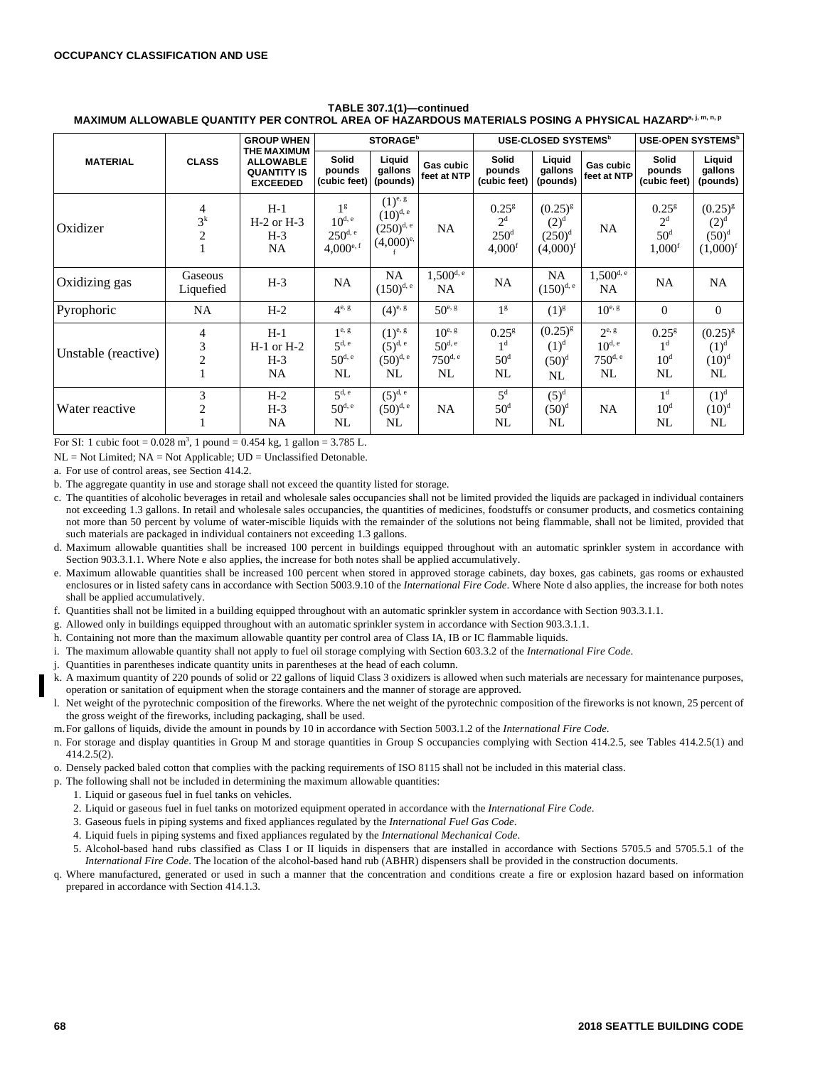#### **TABLE 307.1(1)—continued MAXIMUM ALLOWABLE QUANTITY PER CONTROL AREA OF HAZARDOUS MATERIALS POSING A PHYSICAL HAZARDa, j, m, n, p**

|                     | <b>CLASS</b>             | <b>GROUP WHEN</b><br><b>THE MAXIMUM</b><br><b>ALLOWABLE</b><br><b>QUANTITY IS</b><br><b>EXCEEDED</b> | <b>STORAGE</b> <sup>b</sup>                                               |                                                                |                                                         | USE-CLOSED SYSTEMS <sup>b</sup>                               |                                                       |                                                 | <b>USE-OPEN SYSTEMS<sup>b</sup></b>                             |                                                               |
|---------------------|--------------------------|------------------------------------------------------------------------------------------------------|---------------------------------------------------------------------------|----------------------------------------------------------------|---------------------------------------------------------|---------------------------------------------------------------|-------------------------------------------------------|-------------------------------------------------|-----------------------------------------------------------------|---------------------------------------------------------------|
| <b>MATERIAL</b>     |                          |                                                                                                      | Solid<br>pounds<br>(cubic feet)                                           | Liquid<br>gallons<br>(pounds)                                  | Gas cubic<br>feet at NTP                                | Solid<br>pounds<br>(cubic feet)                               | Liquid<br>gallons<br>(pounds)                         | Gas cubic<br>feet at NTP                        | <b>Solid</b><br>pounds<br>(cubic feet)                          | Liquid<br>gallons<br>(pounds)                                 |
| Oxidizer            | 4<br>$3^k$<br>2          | $H-1$<br>$H-2$ or $H-3$<br>$H-3$<br><b>NA</b>                                                        | 1 <sup>g</sup><br>$10^{d, e}$<br>$250^{d, e}$<br>$4,000^{e,f}$            | $(1)^{e, g}$<br>$(10)^{d,e}$<br>$(250)^{d,e}$<br>$(4,000)^{e}$ | <b>NA</b>                                               | $0.25^{8}$<br>$2^d$<br>250 <sup>d</sup><br>4,000 <sup>f</sup> | $(0.25)^{g}$<br>$(2)^d$<br>$(250)^d$<br>$(4,000)^{f}$ | <b>NA</b>                                       | $0.25^{8}$<br>2 <sup>d</sup><br>$50^{\circ}$<br>$1,000^{\rm f}$ | $(0.25)^{g}$<br>(2) <sup>d</sup><br>$(50)^d$<br>$(1,000)^{f}$ |
| Oxidizing gas       | Gaseous<br>Liquefied     | $H-3$                                                                                                | <b>NA</b>                                                                 | NA<br>$(150)^{d,e}$                                            | $1,500^{d,e}$<br>NA                                     | NA                                                            | NA<br>$(150)^{d,e}$                                   | $1,500^{\rm d, e}$<br>NA                        | <b>NA</b>                                                       | <b>NA</b>                                                     |
| Pyrophoric          | NA                       | $H-2$                                                                                                | $4^{e, g}$                                                                | $(4)^{e, g}$                                                   | $50^{e, g}$                                             | 1 <sup>g</sup>                                                | $(1)^{g}$                                             | $10^{e, g}$                                     | $\Omega$                                                        | $\overline{0}$                                                |
| Unstable (reactive) | 4<br>3<br>$\overline{c}$ | $H-1$<br>$H-1$ or $H-2$<br>$H-3$<br><b>NA</b>                                                        | $1^{\text{e}, \text{g}}$<br>5 <sup>d, e</sup><br>$50^{\text{d}, e}$<br>NL | $(1)^{e, g}$<br>$(5)^{d, e}$<br>$(50)^{d,e}$<br>NL             | $10^{e, g}$<br>$50^{d, e}$<br>$750^{\text{d}, e}$<br>NL | $0.25^{\rm g}$<br>1 <sup>d</sup><br>50 <sup>d</sup><br>NL     | $(0.25)^{g}$<br>$(1)^d$<br>$(50)^d$<br>NL             | $2^{e, g}$<br>$10^{d, e}$<br>$750^{d, e}$<br>NL | $0.25^{\rm g}$<br>1 <sup>d</sup><br>10 <sup>d</sup><br>NL       | $(0.25)^{8}$<br>$(1)^d$<br>$(10)^{d}$<br>NL                   |
| Water reactive      | 3<br>2                   | $H-2$<br>$H-3$<br>NA                                                                                 | $5^{d, e}$<br>$50^{\text{d}, e}$<br>NL                                    | $(5)^{d,e}$<br>$(50)^{d,e}$<br>NL                              | <b>NA</b>                                               | $5^d$<br>50 <sup>d</sup><br>NL                                | $(5)^d$<br>$(50)^d$<br>NL                             | <b>NA</b>                                       | 1 <sup>d</sup><br>10 <sup>d</sup><br>NL                         | $(1)^d$<br>$(10)^d$<br><b>NL</b>                              |

For SI: 1 cubic foot =  $0.028$  m<sup>3</sup>, 1 pound =  $0.454$  kg, 1 gallon = 3.785 L.

NL = Not Limited; NA = Not Applicable; UD = Unclassified Detonable.

a. For use of control areas, see Section 414.2.

b. The aggregate quantity in use and storage shall not exceed the quantity listed for storage.

- c. The quantities of alcoholic beverages in retail and wholesale sales occupancies shall not be limited provided the liquids are packaged in individual containers not exceeding 1.3 gallons. In retail and wholesale sales occupancies, the quantities of medicines, foodstuffs or consumer products, and cosmetics containing not more than 50 percent by volume of water-miscible liquids with the remainder of the solutions not being flammable, shall not be limited, provided that such materials are packaged in individual containers not exceeding 1.3 gallons.
- d. Maximum allowable quantities shall be increased 100 percent in buildings equipped throughout with an automatic sprinkler system in accordance with Section 903.3.1.1. Where Note e also applies, the increase for both notes shall be applied accumulatively.
- e. Maximum allowable quantities shall be increased 100 percent when stored in approved storage cabinets, day boxes, gas cabinets, gas rooms or exhausted enclosures or in listed safety cans in accordance with Section 5003.9.10 of the *International Fire Code*. Where Note d also applies, the increase for both notes shall be applied accumulatively.
- f. Quantities shall not be limited in a building equipped throughout with an automatic sprinkler system in accordance with Section 903.3.1.1.
- g. Allowed only in buildings equipped throughout with an automatic sprinkler system in accordance with Section 903.3.1.1.
- h. Containing not more than the maximum allowable quantity per control area of Class IA, IB or IC flammable liquids.
- i. The maximum allowable quantity shall not apply to fuel oil storage complying with Section 603.3.2 of the *International Fire Code*.
- j. Quantities in parentheses indicate quantity units in parentheses at the head of each column.
- k. A maximum quantity of 220 pounds of solid or 22 gallons of liquid Class 3 oxidizers is allowed when such materials are necessary for maintenance purposes, operation or sanitation of equipment when the storage containers and the manner of storage are approved.
- l. Net weight of the pyrotechnic composition of the fireworks. Where the net weight of the pyrotechnic composition of the fireworks is not known, 25 percent of the gross weight of the fireworks, including packaging, shall be used.
- m.For gallons of liquids, divide the amount in pounds by 10 in accordance with Section 5003.1.2 of the *International Fire Code*.
- n. For storage and display quantities in Group M and storage quantities in Group S occupancies complying with Section 414.2.5, see Tables 414.2.5(1) and 414.2.5(2).
- o. Densely packed baled cotton that complies with the packing requirements of ISO 8115 shall not be included in this material class.
- p. The following shall not be included in determining the maximum allowable quantities:
	- 1. Liquid or gaseous fuel in fuel tanks on vehicles.
	- 2. Liquid or gaseous fuel in fuel tanks on motorized equipment operated in accordance with the *International Fire Code*.
	- 3. Gaseous fuels in piping systems and fixed appliances regulated by the *International Fuel Gas Code*.
	- 4. Liquid fuels in piping systems and fixed appliances regulated by the *International Mechanical Code*.
	- 5. Alcohol-based hand rubs classified as Class I or II liquids in dispensers that are installed in accordance with Sections 5705.5 and 5705.5.1 of the *International Fire Code*. The location of the alcohol-based hand rub (ABHR) dispensers shall be provided in the construction documents.
- q. Where manufactured, generated or used in such a manner that the concentration and conditions create a fire or explosion hazard based on information prepared in accordance with Section 414.1.3.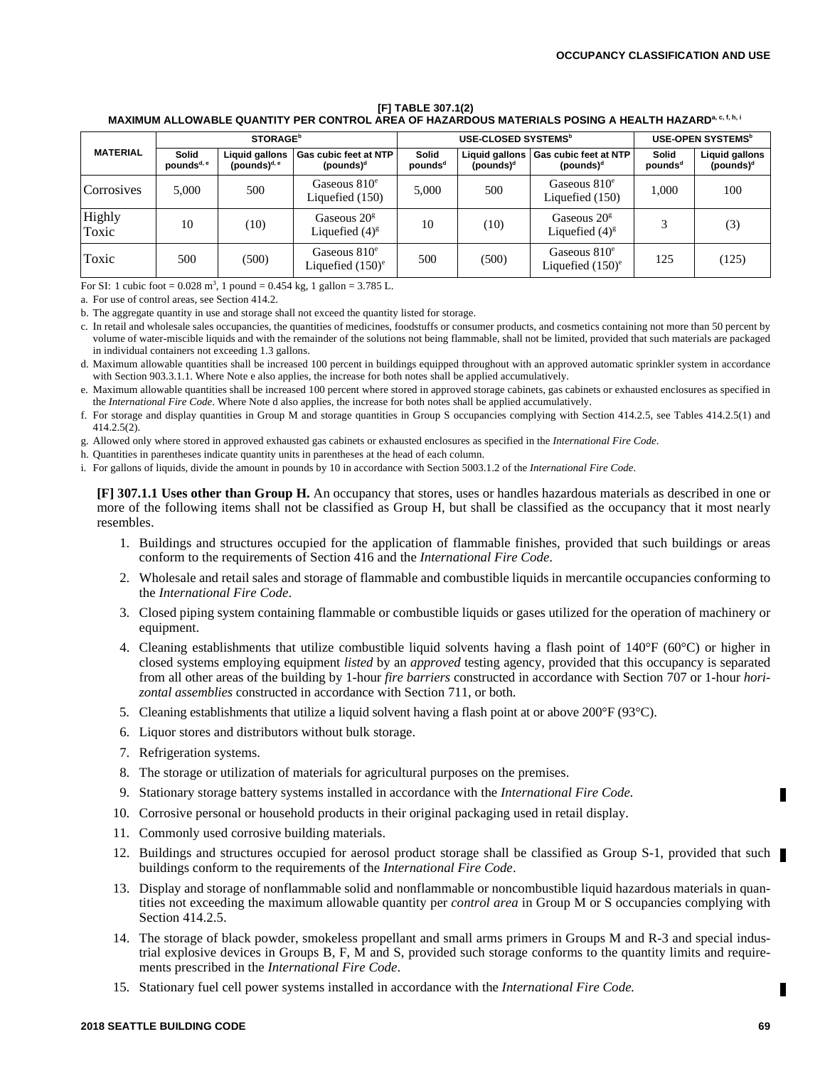#### **[F] TABLE 307.1(2) MAXIMUM ALLOWABLE QUANTITY PER CONTROL AREA OF HAZARDOUS MATERIALS POSING A HEALTH HAZARDa, c, f, h, i**

| <b>MATERIAL</b> |                                        | <b>STORAGE</b> <sup>b</sup>       |                                              |                              | USE-CLOSED SYSTEMS <sup>b</sup>         | USE-OPEN SYSTEMS <sup>b</sup>                    |                              |                                |
|-----------------|----------------------------------------|-----------------------------------|----------------------------------------------|------------------------------|-----------------------------------------|--------------------------------------------------|------------------------------|--------------------------------|
|                 | <b>Solid</b><br>pounds <sup>d, e</sup> | Liquid gallons<br>(pounds) $d, e$ | <b>Gas cubic feet at NTP</b><br>(pounds) $d$ | Solid<br>pounds <sup>d</sup> | Liquid gallons<br>(pounds) <sup>d</sup> | Gas cubic feet at NTP<br>(pounds) $d$            | Solid<br>pounds <sup>d</sup> | Liquid gallons<br>(pounds) $d$ |
| Corrosives      | 5.000                                  | 500                               | Gaseous $810^e$<br>Liquefied (150)           | 5,000                        | 500                                     | Gaseous $810^e$<br>Liquefied (150)               | 1.000                        | 100                            |
| Highly<br>Toxic | 10                                     | (10)                              | Gaseous $20g$<br>Liquefied $(4)^{g}$         | 10                           | (10)                                    | Gaseous $20g$<br>Liquefied $(4)^{g}$             |                              | (3)                            |
| Toxic           | 500                                    | (500)                             | Gaseous $810^e$<br>Liquefied $(150)^e$       | 500                          | (500)                                   | Gaseous $810e$<br>Liquefied $(150)$ <sup>e</sup> | 125                          | (125)                          |

For SI: 1 cubic foot =  $0.028$  m<sup>3</sup>, 1 pound =  $0.454$  kg, 1 gallon =  $3.785$  L.

a. For use of control areas, see Section 414.2.

b. The aggregate quantity in use and storage shall not exceed the quantity listed for storage.

c. In retail and wholesale sales occupancies, the quantities of medicines, foodstuffs or consumer products, and cosmetics containing not more than 50 percent by volume of water-miscible liquids and with the remainder of the solutions not being flammable, shall not be limited, provided that such materials are packaged in individual containers not exceeding 1.3 gallons.

d. Maximum allowable quantities shall be increased 100 percent in buildings equipped throughout with an approved automatic sprinkler system in accordance with Section 903.3.1.1. Where Note e also applies, the increase for both notes shall be applied accumulatively.

e. Maximum allowable quantities shall be increased 100 percent where stored in approved storage cabinets, gas cabinets or exhausted enclosures as specified in the *International Fire Code*. Where Note d also applies, the increase for both notes shall be applied accumulatively.

f. For storage and display quantities in Group M and storage quantities in Group S occupancies complying with Section 414.2.5, see Tables 414.2.5(1) and 414.2.5(2).

g. Allowed only where stored in approved exhausted gas cabinets or exhausted enclosures as specified in the *International Fire Code*.

h. Quantities in parentheses indicate quantity units in parentheses at the head of each column.

i. For gallons of liquids, divide the amount in pounds by 10 in accordance with Section 5003.1.2 of the *International Fire Code*.

**[F] 307.1.1 Uses other than Group H.** An occupancy that stores, uses or handles hazardous materials as described in one or more of the following items shall not be classified as Group H, but shall be classified as the occupancy that it most nearly resembles.

- 1. Buildings and structures occupied for the application of flammable finishes, provided that such buildings or areas conform to the requirements of Section 416 and the *International Fire Code*.
- 2. Wholesale and retail sales and storage of flammable and combustible liquids in mercantile occupancies conforming to the *International Fire Code*.
- 3. Closed piping system containing flammable or combustible liquids or gases utilized for the operation of machinery or equipment.
- 4. Cleaning establishments that utilize combustible liquid solvents having a flash point of 140°F (60°C) or higher in closed systems employing equipment *listed* by an *approved* testing agency, provided that this occupancy is separated from all other areas of the building by 1-hour *fire barriers* constructed in accordance with Section 707 or 1-hour *horizontal assemblies* constructed in accordance with Section 711, or both.
- 5. Cleaning establishments that utilize a liquid solvent having a flash point at or above 200°F (93°C).
- 6. Liquor stores and distributors without bulk storage.
- 7. Refrigeration systems.
- 8. The storage or utilization of materials for agricultural purposes on the premises.
- 9. Stationary storage battery systems installed in accordance with the *International Fire Code.*
- 10. Corrosive personal or household products in their original packaging used in retail display.
- 11. Commonly used corrosive building materials.
- 12. Buildings and structures occupied for aerosol product storage shall be classified as Group S-1, provided that such buildings conform to the requirements of the *International Fire Code*.
- 13. Display and storage of nonflammable solid and nonflammable or noncombustible liquid hazardous materials in quantities not exceeding the maximum allowable quantity per *control area* in Group M or S occupancies complying with Section 414.2.5.
- 14. The storage of black powder, smokeless propellant and small arms primers in Groups M and R-3 and special industrial explosive devices in Groups B, F, M and S, provided such storage conforms to the quantity limits and requirements prescribed in the *International Fire Code*.
- 15. Stationary fuel cell power systems installed in accordance with the *International Fire Code.*

г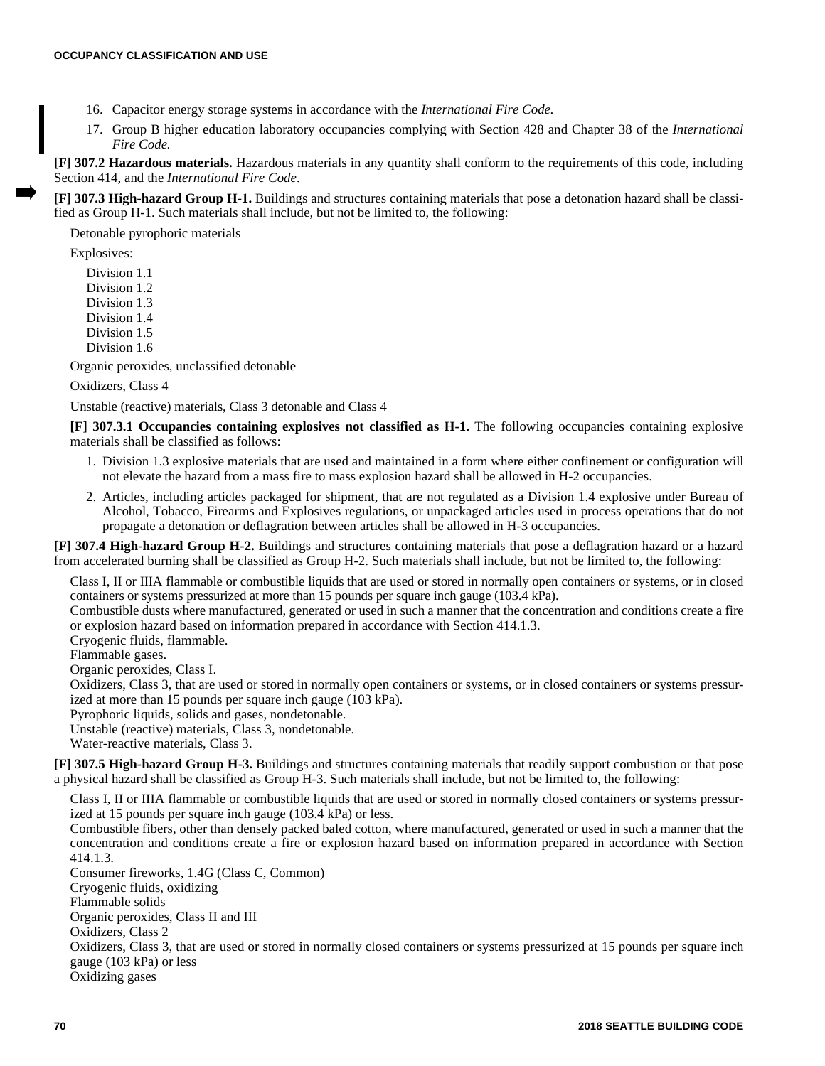- 16. Capacitor energy storage systems in accordance with the *International Fire Code.*
- 17. Group B higher education laboratory occupancies complying with Section 428 and Chapter 38 of the *International Fire Code.*

**[F] 307.2 Hazardous materials.** Hazardous materials in any quantity shall conform to the requirements of this code, including Section 414, and the *International Fire Code*.

**[F] 307.3 High-hazard Group H-1.** Buildings and structures containing materials that pose a detonation hazard shall be classified as Group H-1. Such materials shall include, but not be limited to, the following:

Detonable pyrophoric materials

Explosives:

Division 1.1 Division 1.2 Division 1.3 Division 1.4 Division 1.5 Division 1.6

Organic peroxides, unclassified detonable

Oxidizers, Class 4

Unstable (reactive) materials, Class 3 detonable and Class 4

**[F] 307.3.1 Occupancies containing explosives not classified as H-1.** The following occupancies containing explosive materials shall be classified as follows:

- 1. Division 1.3 explosive materials that are used and maintained in a form where either confinement or configuration will not elevate the hazard from a mass fire to mass explosion hazard shall be allowed in H-2 occupancies.
- 2. Articles, including articles packaged for shipment, that are not regulated as a Division 1.4 explosive under Bureau of Alcohol, Tobacco, Firearms and Explosives regulations, or unpackaged articles used in process operations that do not propagate a detonation or deflagration between articles shall be allowed in H-3 occupancies.

**[F] 307.4 High-hazard Group H-2.** Buildings and structures containing materials that pose a deflagration hazard or a hazard from accelerated burning shall be classified as Group H-2. Such materials shall include, but not be limited to, the following:

Class I, II or IIIA flammable or combustible liquids that are used or stored in normally open containers or systems, or in closed containers or systems pressurized at more than 15 pounds per square inch gauge (103.4 kPa).

Combustible dusts where manufactured, generated or used in such a manner that the concentration and conditions create a fire or explosion hazard based on information prepared in accordance with Section 414.1.3.

Cryogenic fluids, flammable.

Flammable gases.

Organic peroxides, Class I.

Oxidizers, Class 3, that are used or stored in normally open containers or systems, or in closed containers or systems pressurized at more than 15 pounds per square inch gauge (103 kPa).

Pyrophoric liquids, solids and gases, nondetonable.

Unstable (reactive) materials, Class 3, nondetonable.

Water-reactive materials, Class 3.

**[F] 307.5 High-hazard Group H-3.** Buildings and structures containing materials that readily support combustion or that pose a physical hazard shall be classified as Group H-3. Such materials shall include, but not be limited to, the following:

Class I, II or IIIA flammable or combustible liquids that are used or stored in normally closed containers or systems pressurized at 15 pounds per square inch gauge (103.4 kPa) or less.

Combustible fibers, other than densely packed baled cotton, where manufactured, generated or used in such a manner that the concentration and conditions create a fire or explosion hazard based on information prepared in accordance with Section 414.1.3.

Consumer fireworks, 1.4G (Class C, Common) Cryogenic fluids, oxidizing Flammable solids Organic peroxides, Class II and III Oxidizers, Class 2 Oxidizers, Class 3, that are used or stored in normally closed containers or systems pressurized at 15 pounds per square inch gauge (103 kPa) or less Oxidizing gases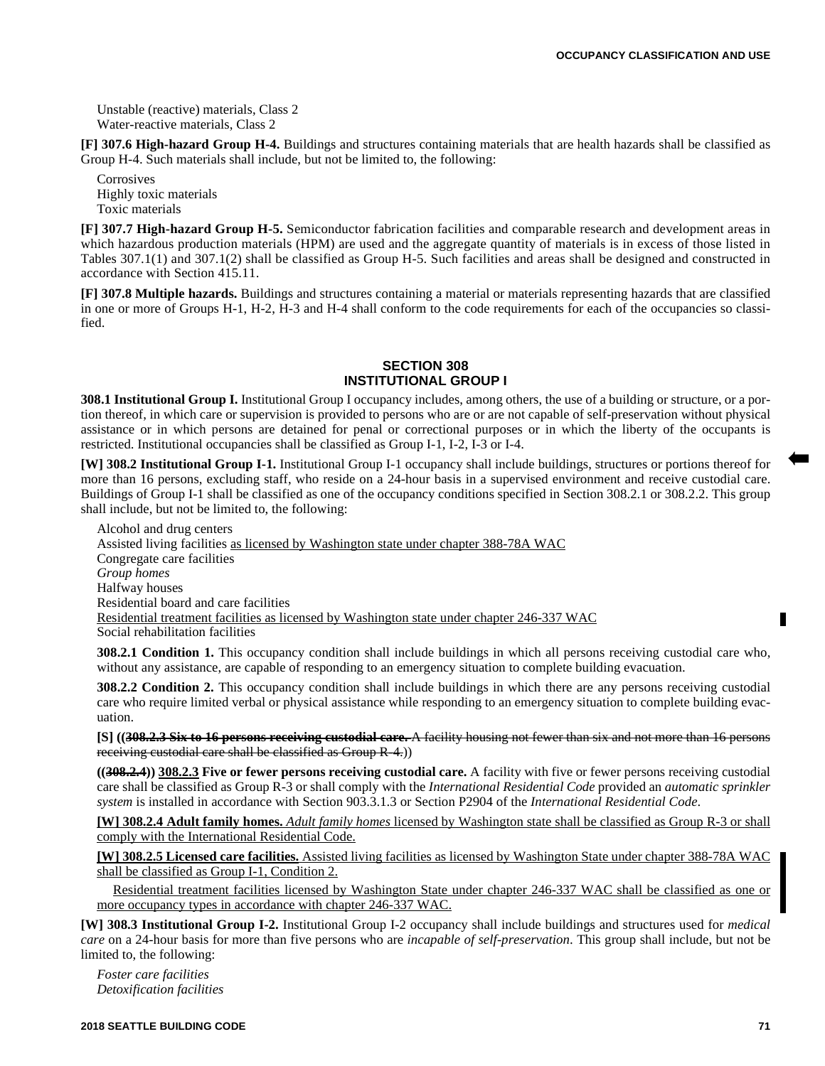Unstable (reactive) materials, Class 2 Water-reactive materials, Class 2

**[F] 307.6 High-hazard Group H-4.** Buildings and structures containing materials that are health hazards shall be classified as Group H-4. Such materials shall include, but not be limited to, the following:

**Corrosives** Highly toxic materials Toxic materials

**[F] 307.7 High-hazard Group H-5.** Semiconductor fabrication facilities and comparable research and development areas in which hazardous production materials (HPM) are used and the aggregate quantity of materials is in excess of those listed in Tables 307.1(1) and 307.1(2) shall be classified as Group H-5. Such facilities and areas shall be designed and constructed in accordance with Section 415.11.

**[F] 307.8 Multiple hazards.** Buildings and structures containing a material or materials representing hazards that are classified in one or more of Groups H-1, H-2, H-3 and H-4 shall conform to the code requirements for each of the occupancies so classified.

#### **SECTION 308 INSTITUTIONAL GROUP I**

**308.1 Institutional Group I.** Institutional Group I occupancy includes, among others, the use of a building or structure, or a portion thereof, in which care or supervision is provided to persons who are or are not capable of self-preservation without physical assistance or in which persons are detained for penal or correctional purposes or in which the liberty of the occupants is restricted. Institutional occupancies shall be classified as Group I-1, I-2, I-3 or I-4.

**[W] 308.2 Institutional Group I-1.** Institutional Group I-1 occupancy shall include buildings, structures or portions thereof for more than 16 persons, excluding staff, who reside on a 24-hour basis in a supervised environment and receive custodial care. Buildings of Group I-1 shall be classified as one of the occupancy conditions specified in Section 308.2.1 or 308.2.2. This group shall include, but not be limited to, the following:

Alcohol and drug centers Assisted living facilities as licensed by Washington state under chapter 388-78A WAC Congregate care facilities *Group homes* Halfway houses Residential board and care facilities Residential treatment facilities as licensed by Washington state under chapter 246-337 WAC Social rehabilitation facilities

**308.2.1 Condition 1.** This occupancy condition shall include buildings in which all persons receiving custodial care who, without any assistance, are capable of responding to an emergency situation to complete building evacuation.

**308.2.2 Condition 2.** This occupancy condition shall include buildings in which there are any persons receiving custodial care who require limited verbal or physical assistance while responding to an emergency situation to complete building evacuation.

**[S] ((308.2.3 Six to 16 persons receiving custodial care.** A facility housing not fewer than six and not more than 16 persons receiving custodial care shall be classified as Group R-4.))

**((308.2.4)) 308.2.3 Five or fewer persons receiving custodial care.** A facility with five or fewer persons receiving custodial care shall be classified as Group R-3 or shall comply with the *International Residential Code* provided an *automatic sprinkler system* is installed in accordance with Section 903.3.1.3 or Section P2904 of the *International Residential Code*.

**[W] 308.2.4 Adult family homes.** *Adult family homes* licensed by Washington state shall be classified as Group R-3 or shall comply with the International Residential Code.

**[W] 308.2.5 Licensed care facilities.** Assisted living facilities as licensed by Washington State under chapter 388-78A WAC shall be classified as Group I-1, Condition 2.

Residential treatment facilities licensed by Washington State under chapter 246-337 WAC shall be classified as one or more occupancy types in accordance with chapter 246-337 WAC.

**[W] 308.3 Institutional Group I-2.** Institutional Group I-2 occupancy shall include buildings and structures used for *medical care* on a 24-hour basis for more than five persons who are *incapable of self-preservation*. This group shall include, but not be limited to, the following:

*Foster care facilities Detoxification facilities*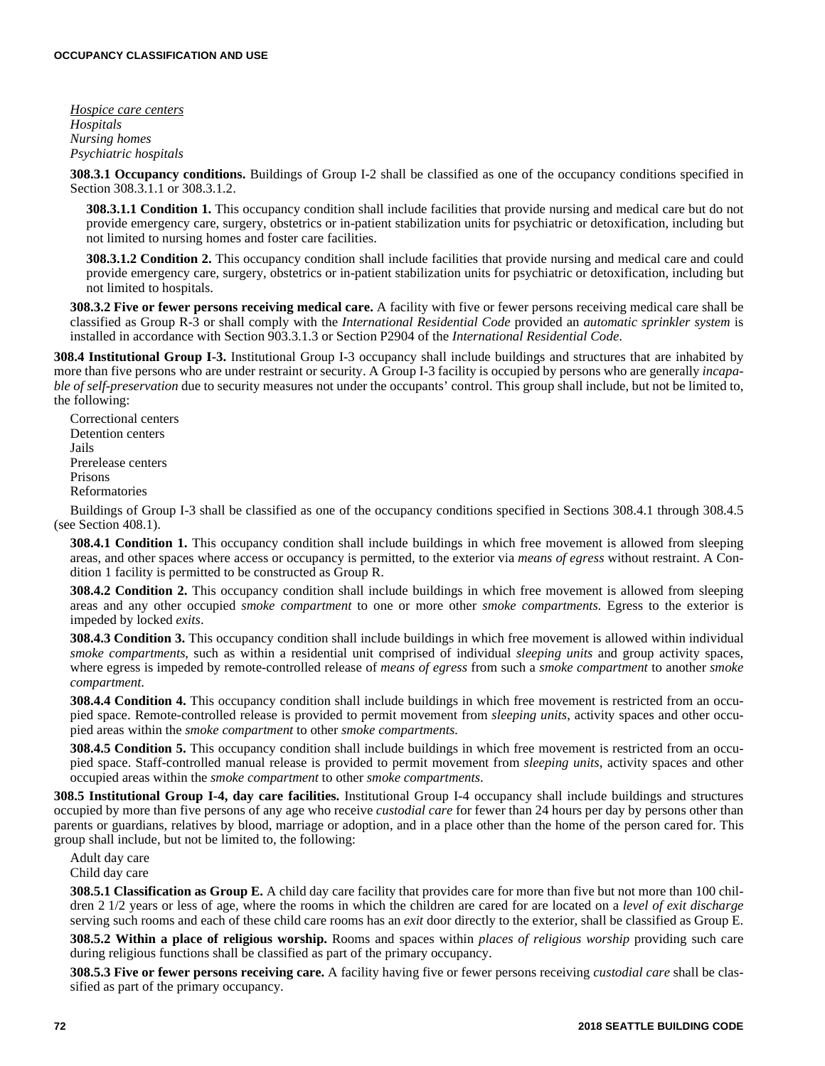*Hospice care centers Hospitals Nursing homes Psychiatric hospitals*

**308.3.1 Occupancy conditions.** Buildings of Group I-2 shall be classified as one of the occupancy conditions specified in Section 308.3.1.1 or 308.3.1.2.

**308.3.1.1 Condition 1.** This occupancy condition shall include facilities that provide nursing and medical care but do not provide emergency care, surgery, obstetrics or in-patient stabilization units for psychiatric or detoxification, including but not limited to nursing homes and foster care facilities.

**308.3.1.2 Condition 2.** This occupancy condition shall include facilities that provide nursing and medical care and could provide emergency care, surgery, obstetrics or in-patient stabilization units for psychiatric or detoxification, including but not limited to hospitals.

**308.3.2 Five or fewer persons receiving medical care.** A facility with five or fewer persons receiving medical care shall be classified as Group R-3 or shall comply with the *International Residential Code* provided an *automatic sprinkler system* is installed in accordance with Section 903.3.1.3 or Section P2904 of the *International Residential Code*.

**308.4 Institutional Group I-3.** Institutional Group I-3 occupancy shall include buildings and structures that are inhabited by more than five persons who are under restraint or security. A Group I-3 facility is occupied by persons who are generally *incapable of self-preservation* due to security measures not under the occupants' control. This group shall include, but not be limited to, the following:

Correctional centers Detention centers Jails Prerelease centers Prisons Reformatories

Buildings of Group I-3 shall be classified as one of the occupancy conditions specified in Sections 308.4.1 through 308.4.5 (see Section 408.1).

**308.4.1 Condition 1.** This occupancy condition shall include buildings in which free movement is allowed from sleeping areas, and other spaces where access or occupancy is permitted, to the exterior via *means of egress* without restraint. A Condition 1 facility is permitted to be constructed as Group R.

**308.4.2 Condition 2.** This occupancy condition shall include buildings in which free movement is allowed from sleeping areas and any other occupied *smoke compartment* to one or more other *smoke compartments.* Egress to the exterior is impeded by locked *exits*.

**308.4.3 Condition 3.** This occupancy condition shall include buildings in which free movement is allowed within individual *smoke compartments*, such as within a residential unit comprised of individual *sleeping units* and group activity spaces, where egress is impeded by remote-controlled release of *means of egress* from such a *smoke compartment* to another *smoke compartment*.

**308.4.4 Condition 4.** This occupancy condition shall include buildings in which free movement is restricted from an occupied space. Remote-controlled release is provided to permit movement from *sleeping units*, activity spaces and other occupied areas within the *smoke compartment* to other *smoke compartments.*

**308.4.5 Condition 5.** This occupancy condition shall include buildings in which free movement is restricted from an occupied space. Staff-controlled manual release is provided to permit movement from *sleeping units*, activity spaces and other occupied areas within the *smoke compartment* to other *smoke compartments*.

**308.5 Institutional Group I-4, day care facilities.** Institutional Group I-4 occupancy shall include buildings and structures occupied by more than five persons of any age who receive *custodial care* for fewer than 24 hours per day by persons other than parents or guardians, relatives by blood, marriage or adoption, and in a place other than the home of the person cared for. This group shall include, but not be limited to, the following:

Adult day care Child day care

**308.5.1 Classification as Group E.** A child day care facility that provides care for more than five but not more than 100 children 2 1/2 years or less of age, where the rooms in which the children are cared for are located on a *level of exit discharge* serving such rooms and each of these child care rooms has an *exit* door directly to the exterior, shall be classified as Group E.

**308.5.2 Within a place of religious worship.** Rooms and spaces within *places of religious worship* providing such care during religious functions shall be classified as part of the primary occupancy.

**308.5.3 Five or fewer persons receiving care.** A facility having five or fewer persons receiving *custodial care* shall be classified as part of the primary occupancy.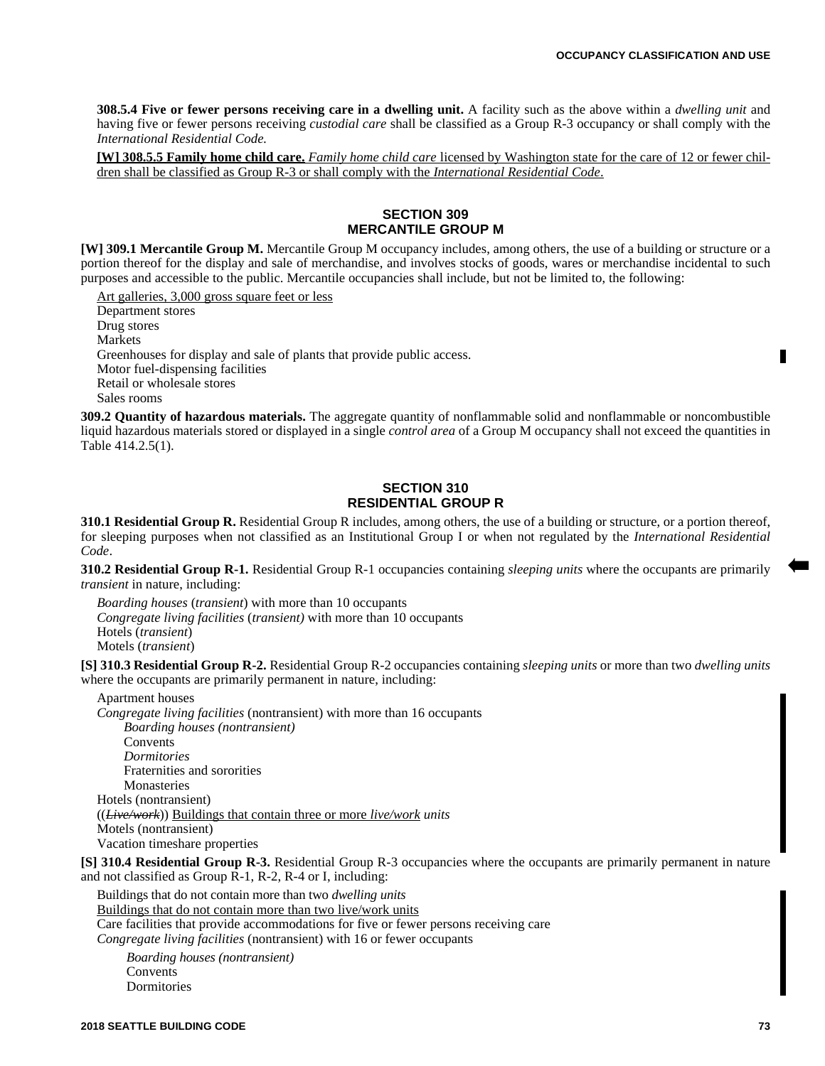**308.5.4 Five or fewer persons receiving care in a dwelling unit.** A facility such as the above within a *dwelling unit* and having five or fewer persons receiving *custodial care* shall be classified as a Group R-3 occupancy or shall comply with the *International Residential Code.*

**[W] 308.5.5 Family home child care.** *Family home child care* licensed by Washington state for the care of 12 or fewer children shall be classified as Group R-3 or shall comply with the *International Residential Code*.

## **SECTION 309 MERCANTILE GROUP M**

**[W] 309.1 Mercantile Group M.** Mercantile Group M occupancy includes, among others, the use of a building or structure or a portion thereof for the display and sale of merchandise, and involves stocks of goods, wares or merchandise incidental to such purposes and accessible to the public. Mercantile occupancies shall include, but not be limited to, the following:

Art galleries, 3,000 gross square feet or less Department stores Drug stores Markets Greenhouses for display and sale of plants that provide public access. Motor fuel-dispensing facilities Retail or wholesale stores Sales rooms

**309.2 Quantity of hazardous materials.** The aggregate quantity of nonflammable solid and nonflammable or noncombustible liquid hazardous materials stored or displayed in a single *control area* of a Group M occupancy shall not exceed the quantities in Table 414.2.5(1).

## **SECTION 310 RESIDENTIAL GROUP R**

**310.1 Residential Group R.** Residential Group R includes, among others, the use of a building or structure, or a portion thereof, for sleeping purposes when not classified as an Institutional Group I or when not regulated by the *International Residential Code*.

**310.2 Residential Group R-1.** Residential Group R-1 occupancies containing *sleeping units* where the occupants are primarily *transient* in nature, including:

*Boarding houses* (*transient*) with more than 10 occupants *Congregate living facilities* (*transient)* with more than 10 occupants Hotels (*transient*) Motels (*transient*)

**[S] 310.3 Residential Group R-2.** Residential Group R-2 occupancies containing *sleeping units* or more than two *dwelling units* where the occupants are primarily permanent in nature, including:

Apartment houses *Congregate living facilities* (nontransient) with more than 16 occupants *Boarding houses (nontransient)* Convents *Dormitories* Fraternities and sororities **Monasteries** Hotels (nontransient) ((*Live/work*)) Buildings that contain three or more *live/work units* Motels (nontransient) Vacation timeshare properties

**[S] 310.4 Residential Group R-3.** Residential Group R-3 occupancies where the occupants are primarily permanent in nature and not classified as Group R-1, R-2, R-4 or I, including:

Buildings that do not contain more than two *dwelling units* Buildings that do not contain more than two live/work units Care facilities that provide accommodations for five or fewer persons receiving care *Congregate living facilities* (nontransient) with 16 or fewer occupants

*Boarding houses (nontransient)* **Convents** Dormitories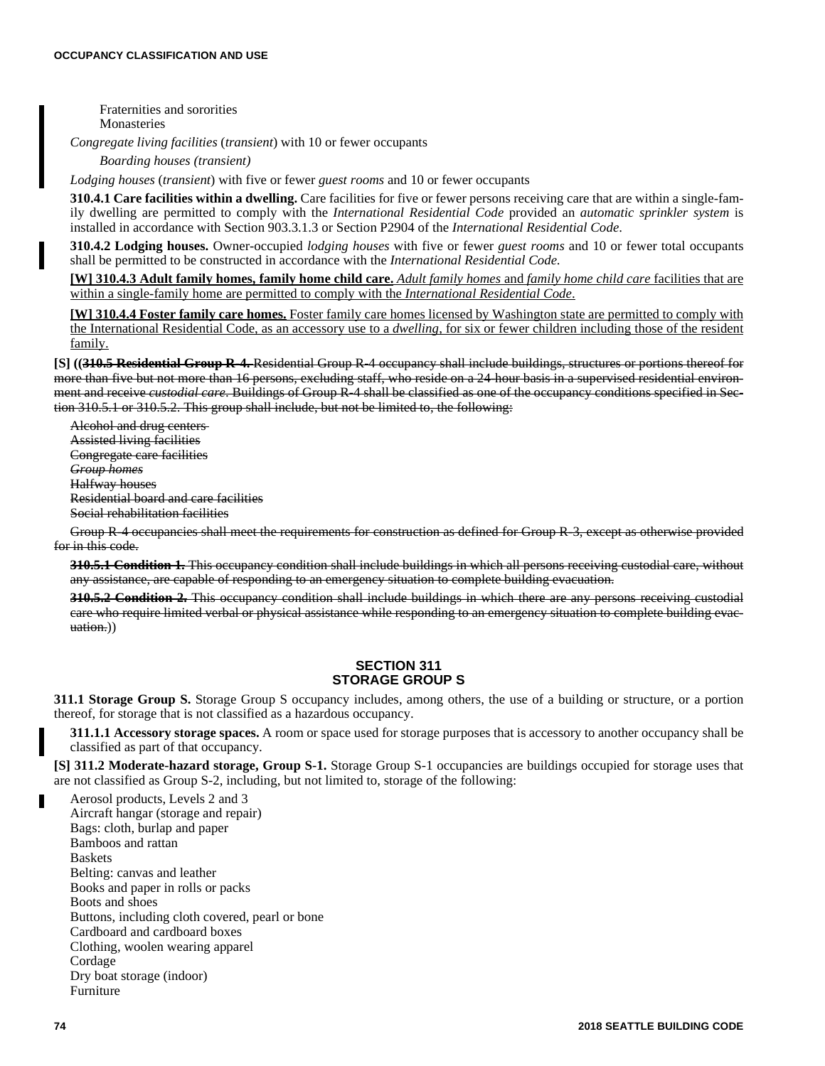Fraternities and sororities Monasteries

*Congregate living facilities* (*transient*) with 10 or fewer occupants

*Boarding houses (transient)* 

*Lodging houses* (*transient*) with five or fewer *guest rooms* and 10 or fewer occupants

**310.4.1 Care facilities within a dwelling.** Care facilities for five or fewer persons receiving care that are within a single-family dwelling are permitted to comply with the *International Residential Code* provided an *automatic sprinkler system* is installed in accordance with Section 903.3.1.3 or Section P2904 of the *International Residential Code*.

**310.4.2 Lodging houses.** Owner-occupied *lodging houses* with five or fewer *guest rooms* and 10 or fewer total occupants shall be permitted to be constructed in accordance with the *International Residential Code*.

**[W] 310.4.3 Adult family homes, family home child care.** *Adult family homes* and *family home child care* facilities that are within a single-family home are permitted to comply with the *International Residential Code*.

**[W] 310.4.4 Foster family care homes.** Foster family care homes licensed by Washington state are permitted to comply with the International Residential Code, as an accessory use to a *dwelling*, for six or fewer children including those of the resident family.

**[S] ((310.5 Residential Group R-4.** Residential Group R-4 occupancy shall include buildings, structures or portions thereof for more than five but not more than 16 persons, excluding staff, who reside on a 24-hour basis in a supervised residential environment and receive *custodial care*. Buildings of Group R-4 shall be classified as one of the occupancy conditions specified in Section 310.5.1 or 310.5.2. This group shall include, but not be limited to, the following:

Alcohol and drug centers Assisted living facilities Congregate care facilities *Group homes* Halfway houses Residential board and care facilities Social rehabilitation facilities

Group R-4 occupancies shall meet the requirements for construction as defined for Group R-3, except as otherwise provided for in this code.

**310.5.1 Condition 1.** This occupancy condition shall include buildings in which all persons receiving custodial care, without any assistance, are capable of responding to an emergency situation to complete building evacuation.

**310.5.2 Condition 2.** This occupancy condition shall include buildings in which there are any persons receiving custodial care who require limited verbal or physical assistance while responding to an emergency situation to complete building evacuation.))

## **SECTION 311 STORAGE GROUP S**

**311.1 Storage Group S.** Storage Group S occupancy includes, among others, the use of a building or structure, or a portion thereof, for storage that is not classified as a hazardous occupancy.

**311.1.1 Accessory storage spaces.** A room or space used for storage purposes that is accessory to another occupancy shall be classified as part of that occupancy.

**[S] 311.2 Moderate-hazard storage, Group S-1.** Storage Group S-1 occupancies are buildings occupied for storage uses that are not classified as Group S-2, including, but not limited to, storage of the following:

Aerosol products, Levels 2 and 3 Aircraft hangar (storage and repair) Bags: cloth, burlap and paper Bamboos and rattan Baskets Belting: canvas and leather Books and paper in rolls or packs Boots and shoes Buttons, including cloth covered, pearl or bone Cardboard and cardboard boxes Clothing, woolen wearing apparel Cordage Dry boat storage (indoor) Furniture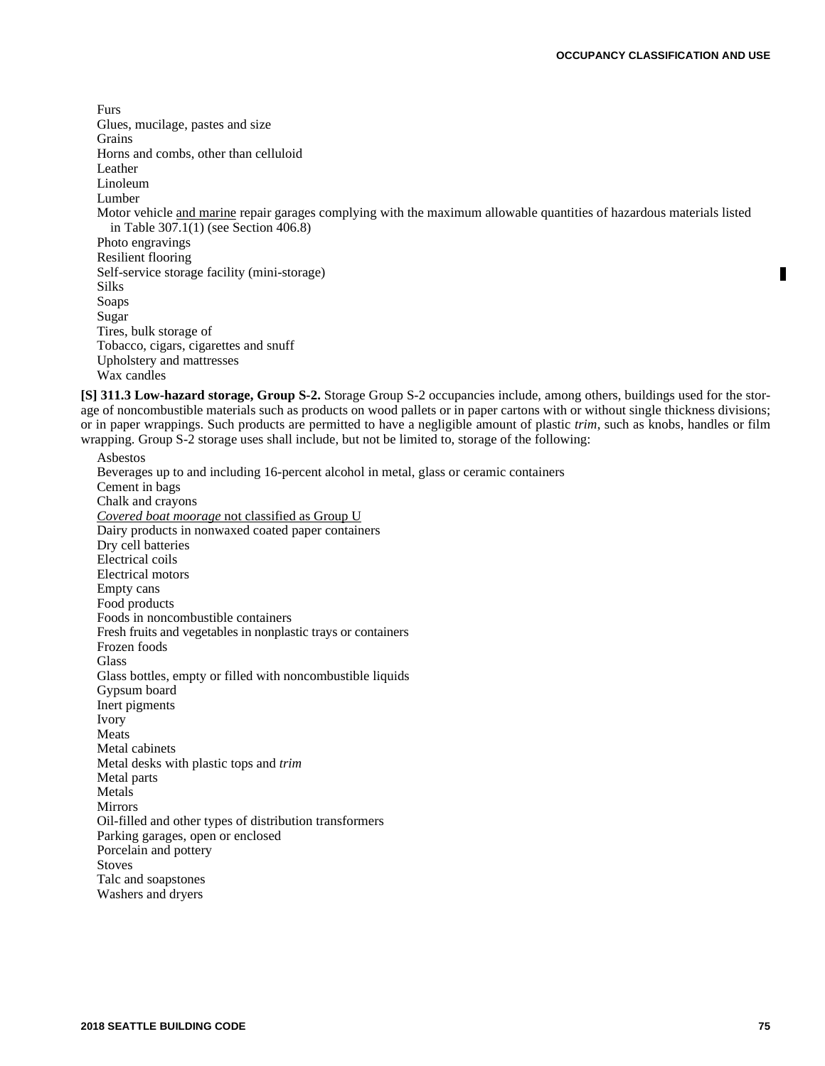Furs Glues, mucilage, pastes and size Grains Horns and combs, other than celluloid Leather Linoleum Lumber Motor vehicle and marine repair garages complying with the maximum allowable quantities of hazardous materials listed in Table 307.1(1) (see Section 406.8) Photo engravings Resilient flooring Self-service storage facility (mini-storage) Silks Soaps Sugar Tires, bulk storage of Tobacco, cigars, cigarettes and snuff Upholstery and mattresses

Wax candles

**[S] 311.3 Low-hazard storage, Group S-2.** Storage Group S-2 occupancies include, among others, buildings used for the storage of noncombustible materials such as products on wood pallets or in paper cartons with or without single thickness divisions; or in paper wrappings. Such products are permitted to have a negligible amount of plastic *trim*, such as knobs, handles or film wrapping. Group S-2 storage uses shall include, but not be limited to, storage of the following:

Asbestos Beverages up to and including 16-percent alcohol in metal, glass or ceramic containers Cement in bags Chalk and crayons *Covered boat moorage* not classified as Group U Dairy products in nonwaxed coated paper containers Dry cell batteries Electrical coils Electrical motors Empty cans Food products Foods in noncombustible containers Fresh fruits and vegetables in nonplastic trays or containers Frozen foods Glass Glass bottles, empty or filled with noncombustible liquids Gypsum board Inert pigments Ivory Meats Metal cabinets Metal desks with plastic tops and *trim* Metal parts Metals Mirrors Oil-filled and other types of distribution transformers Parking garages, open or enclosed Porcelain and pottery Stoves Talc and soapstones Washers and dryers